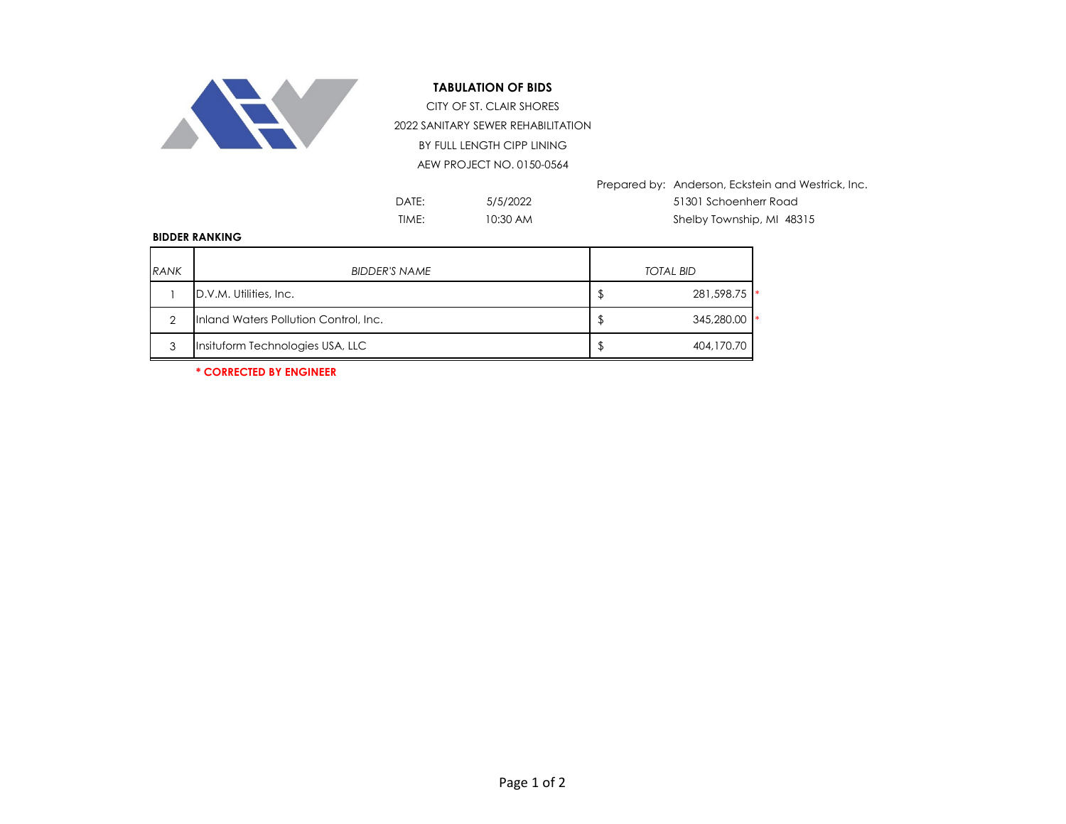

## **TABULATION OF BIDS**

2022 SANITARY SEWER REHABILITATION BY FULL LENGTH CIPP LINING AEW PROJECT NO. 0150-0564 CITY OF ST. CLAIR SHORES

Prepared by: Anderson, Eckstein and Westrick, Inc.

5/5/2022 10:30 AM

DATE: 5/5/2022 51301 Schoenherr Road TIME: 10:30 AM Shelby Township, MI 48315

## **BIDDER RANKING**

| <b>RANK</b> | <b>BIDDER'S NAME</b>                  | <b>TOTAL BID</b> |
|-------------|---------------------------------------|------------------|
|             | D.V.M. Utilities, Inc.                | 281,598.75       |
| っ           | Inland Waters Pollution Control, Inc. | 345,280.00       |
| 3           | Insituform Technologies USA, LLC      | 404,170.70       |

**\* CORRECTED BY ENGINEER**